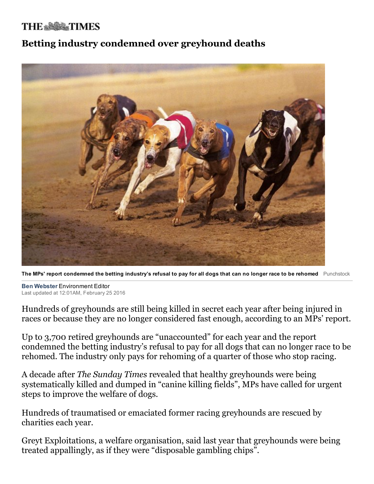## **THE & SOCK TIMES**

## Betting industry condemned over greyhound deaths



The MPs' report condemned the betting industry's refusal to pay for all dogs that can no longer race to be rehomed Punchstock

**Ben Webster Environment Editor** Last updated at 12:01AM, February 25 2016

Hundreds of greyhounds are still being killed in secret each year after being injured in races or because they are no longer considered fast enough, according to an MPs' report.

Up to 3,700 retired greyhounds are "unaccounted" for each year and the report condemned the betting industry's refusal to pay for all dogs that can no longer race to be rehomed. The industry only pays for rehoming of a quarter of those who stop racing.

A decade after The Sunday Times revealed that healthy greyhounds were being systematically killed and dumped in "canine killing fields", MPs have called for urgent steps to improve the welfare of dogs.

Hundreds of traumatised or emaciated former racing greyhounds are rescued by charities each year.

Greyt Exploitations, a welfare organisation, said last year that greyhounds were being treated appallingly, as if they were "disposable gambling chips".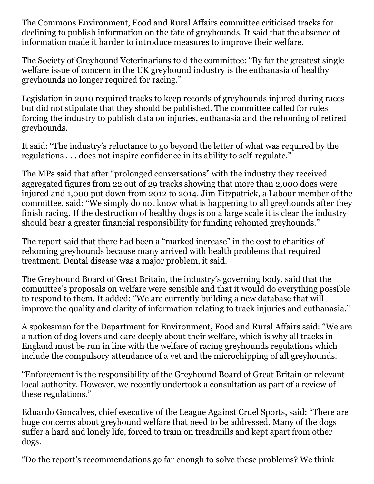The Commons Environment, Food and Rural Affairs committee criticised tracks for declining to publish information on the fate of greyhounds. It said that the absence of information made it harder to introduce measures to improve their welfare.

The Society of Greyhound Veterinarians told the committee: "By far the greatest single welfare issue of concern in the UK greyhound industry is the euthanasia of healthy greyhounds no longer required for racing."

Legislation in 2010 required tracks to keep records of greyhounds injured during races but did not stipulate that they should be published. The committee called for rules forcing the industry to publish data on injuries, euthanasia and the rehoming of retired greyhounds.

It said: "The industry's reluctance to go beyond the letter of what was required by the regulations . . . does not inspire confidence in its ability to self-regulate."

The MPs said that after "prolonged conversations" with the industry they received aggregated figures from 22 out of 29 tracks showing that more than 2,000 dogs were injured and 1,000 put down from 2012 to 2014. Jim Fitzpatrick, a Labour member of the committee, said: "We simply do not know what is happening to all greyhounds after they finish racing. If the destruction of healthy dogs is on a large scale it is clear the industry should bear a greater financial responsibility for funding rehomed greyhounds."

The report said that there had been a "marked increase" in the cost to charities of rehoming greyhounds because many arrived with health problems that required treatment. Dental disease was a major problem, it said.

The Greyhound Board of Great Britain, the industry's governing body, said that the committee's proposals on welfare were sensible and that it would do everything possible to respond to them. It added: "We are currently building a new database that will improve the quality and clarity of information relating to track injuries and euthanasia."

A spokesman for the Department for Environment, Food and Rural Affairs said: "We are a nation of dog lovers and care deeply about their welfare, which is why all tracks in England must be run in line with the welfare of racing greyhounds regulations which include the compulsory attendance of a vet and the microchipping of all greyhounds.

"Enforcement is the responsibility of the Greyhound Board of Great Britain or relevant local authority. However, we recently undertook a consultation as part of a review of these regulations."

Eduardo Goncalves, chief executive of the League Against Cruel Sports, said: "There are huge concerns about greyhound welfare that need to be addressed. Many of the dogs suffer a hard and lonely life, forced to train on treadmills and kept apart from other dogs.

"Do the report's recommendations go far enough to solve these problems? We think